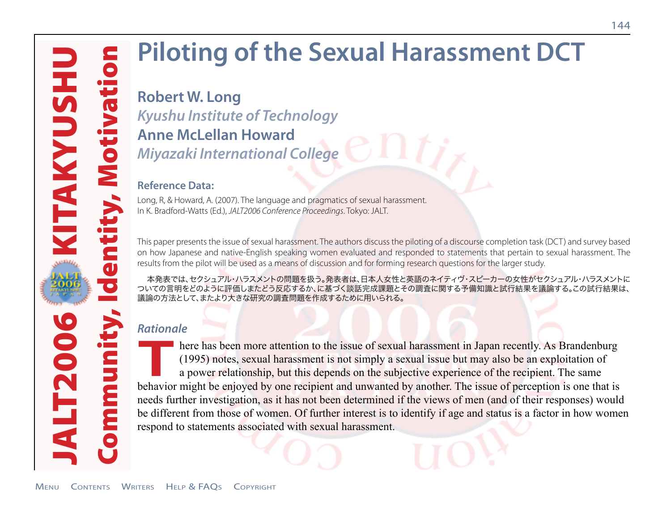# **Piloting of the Sexual Harassment DCT**

# **Robert W. Long**  *Kyushu Institute of Technology* **Anne McLellan Howard**  *Miyazaki International College*

#### **Reference Data:**

Long, R, & Howard, A. (2007). The language and pragmatics of sexual harassment. In K. Bradford-Watts (Ed.), *JALT2006 Conference Proceedings*. Tokyo: JALT.

This paper presents the issue of sexual harassment. The authors discuss the piloting of a discourse completion task (DCT) and survey based on how Japanese and native-English speaking women evaluated and responded to statements that pertain to sexual harassment. The results from the pilot will be used as a means of discussion and for forming research questions for the larger study.

本発表では、セクシュアル・ハラスメントの問題を扱う。発表者は、日本人女性と英語のネイティヴ・スピーカーの女性がセクシュアル・ハラスメントに ついての言明をどのように評価しまたどう反応するか、に基づく談話完成課題とその調査に関する予備知識と試行結果を議論する。この試行結果は、 議論の方法として、またより大きな研究の調査問題を作成するために用いられる。

# *Rationale*

**There has been more attention to the issue of sexual harassment in Japan recently. As Brandenburg (1995) notes, sexual harassment is not simply a sexual issue but may also be an exploitation of a power relationship, but t** (1995) notes, sexual harassment is not simply a sexual issue but may also be an exploitation of a power relationship, but this depends on the subjective experience of the recipient. The same behavior might be enjoyed by one recipient and unwanted by another. The issue of perception is one that is needs further investigation, as it has not been determined if the views of men (and of their responses) would be different from those of women. Of further interest is to identify if age and status is a factor in how women respond to statements associated with sexual harassment.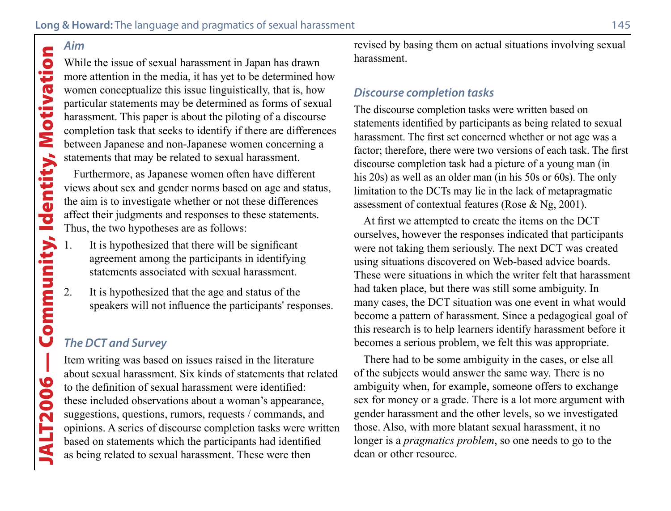# Aim

While the issue of sexual harassment in Japan has drawn more attention in the media, it has yet to be determined how women conceptualize this issue linguistically, that is, how particular statements may be determined as forms of sexual harassment. This paper is about the piloting of a discourse completion task that seeks to identify if there are differences between Japanese and non-Japanese women concerning a statements that may be related to sexual harassment.

Furthermore, as Japanese women often have different views about sex and gender norms based on age and status, the aim is to investigate whether or not these differences affect their judgments and responses to these statements. Thus, the two hypotheses are as follows:

- It is hypothesized that there will be significant agreement among the participants in identifying statements associated with sexual harassment.
- 2. It is hypothesized that the age and status of the speakers will not influence the participants' responses.

# *The DCT and Survey*

Item writing was based on issues raised in the literature about sexual harassment. Six kinds of statements that related to the definition of sexual harassment were identified: these included observations about a woman's appearance, suggestions, questions, rumors, requests / commands, and opinions. A series of discourse completion tasks were written based on statements which the participants had identified as being related to sexual harassment. These were then

revised by basing them on actual situations involving sexual harassment.

#### *Discourse completion tasks*

The discourse completion tasks were written based on statements identified by participants as being related to sexual harassment. The first set concerned whether or not age was a factor; therefore, there were two versions of each task. The first discourse completion task had a picture of a young man (in his 20s) as well as an older man (in his 50s or 60s). The only limitation to the DCTs may lie in the lack of metapragmatic assessment of contextual features (Rose & Ng, 2001).

At first we attempted to create the items on the DCT ourselves, however the responses indicated that participants were not taking them seriously. The next DCT was created using situations discovered on Web-based advice boards. These were situations in which the writer felt that harassment had taken place, but there was still some ambiguity. In many cases, the DCT situation was one event in what would become a pattern of harassment. Since a pedagogical goal of this research is to help learners identify harassment before it becomes a serious problem, we felt this was appropriate.

There had to be some ambiguity in the cases, or else all of the subjects would answer the same way. There is no ambiguity when, for example, someone offers to exchange sex for money or a grade. There is a lot more argument with gender harassment and the other levels, so we investigated those. Also, with more blatant sexual harassment, it no longer is a *pragmatics problem*, so one needs to go to the dean or other resource.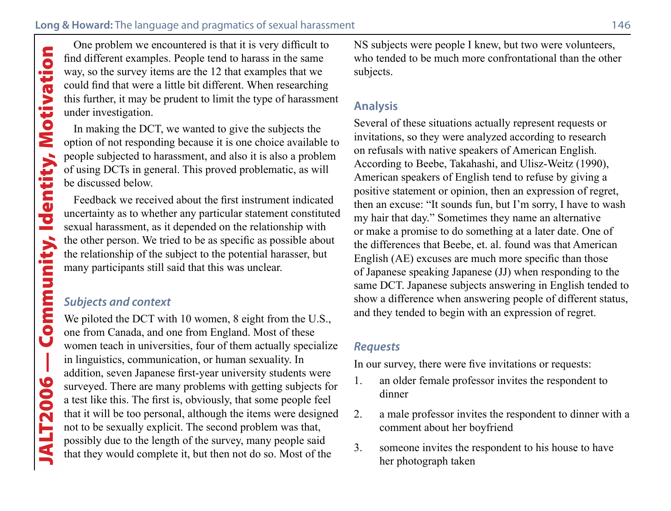find different examples. People tend to harass in the same way, so the survey items are the 12 that examples that we could find that were a little bit different. When researching this further, it may be prudent to limit the type of harassment under investigation.

In making the DCT, we wanted to give the subjects the option of not responding because it is one choice available to people subjected to harassment, and also it is also a problem of using DCTs in general. This proved problematic, as will be discussed below.

Feedback we received about the first instrument indicated uncertainty as to whether any particular statement constituted sexual harassment, as it depended on the relationship with the other person. We tried to be as specific as possible about the relationship of the subject to the potential harasser, but many participants still said that this was unclear.

## *Subjects and context*

One problem we encountered is that it is very difficult to<br>find different examples. People tend to harass in the same<br>ould find that were a little bit different. When researching<br>this further, it may be prudent to limit th We piloted the DCT with 10 women, 8 eight from the U.S., one from Canada, and one from England. Most of these women teach in universities, four of them actually specialize in linguistics, communication, or human sexuality. In addition, seven Japanese first-year university students were surveyed. There are many problems with getting subjects for a test like this. The first is, obviously, that some people feel that it will be too personal, although the items were designed not to be sexually explicit. The second problem was that, possibly due to the length of the survey, many people said that they would complete it, but then not do so. Most of the

NS subjects were people I knew, but two were volunteers, who tended to be much more confrontational than the other subjects.

### **Analysis**

Several of these situations actually represent requests or invitations, so they were analyzed according to research on refusals with native speakers of American English. According to Beebe, Takahashi, and Ulisz-Weitz (1990), American speakers of English tend to refuse by giving a positive statement or opinion, then an expression of regret, then an excuse: "It sounds fun, but I'm sorry, I have to wash my hair that day." Sometimes they name an alternative or make a promise to do something at a later date. One of the differences that Beebe, et. al. found was that American English (AE) excuses are much more specific than those of Japanese speaking Japanese (JJ) when responding to the same DCT. Japanese subjects answering in English tended to show a difference when answering people of different status, and they tended to begin with an expression of regret.

#### *Requests*

In our survey, there were five invitations or requests:

- 1. an older female professor invites the respondent to dinner
- 2. a male professor invites the respondent to dinner with a comment about her boyfriend
- 3. someone invites the respondent to his house to have her photograph taken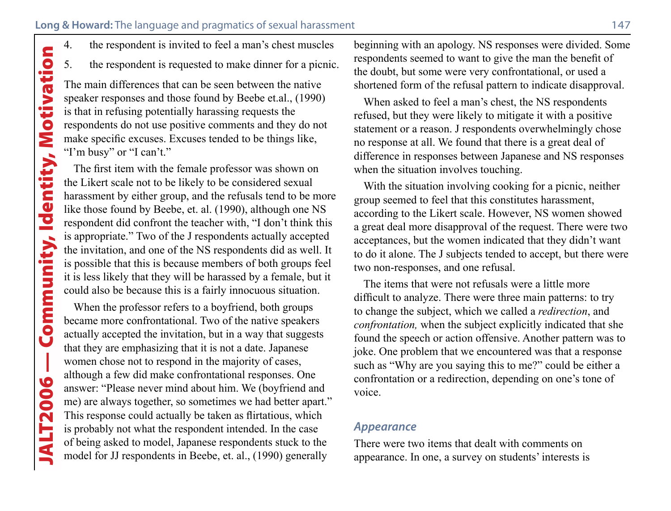- 
- 5. the respondent is requested to make dinner for a picnic.

The main differences that can be seen between the native speaker responses and those found by Beebe et.al., (1990) is that in refusing potentially harassing requests the respondents do not use positive comments and they do not make specific excuses. Excuses tended to be things like, "I'm busy" or "I can't."

The first item with the female professor was shown on the Likert scale not to be likely to be considered sexual harassment by either group, and the refusals tend to be more like those found by Beebe, et. al. (1990), although one NS respondent did confront the teacher with, "I don't think this is appropriate." Two of the J respondents actually accepted the invitation, and one of the NS respondents did as well. It is possible that this is because members of both groups feel it is less likely that they will be harassed by a female, but it could also be because this is a fairly innocuous situation.

4. the respondent is invited to feel a man's chest muscles<br>5. the respondent is requested to make dinner for a picnic<br>iPhe main differences that can be seen between the native<br>speaker responses and those found by Beebe et. When the professor refers to a boyfriend, both groups became more confrontational. Two of the native speakers actually accepted the invitation, but in a way that suggests that they are emphasizing that it is not a date. Japanese women chose not to respond in the majority of cases, although a few did make confrontational responses. One answer: "Please never mind about him. We (boyfriend and me) are always together, so sometimes we had better apart." This response could actually be taken as flirtatious, which is probably not what the respondent intended. In the case of being asked to model, Japanese respondents stuck to the model for JJ respondents in Beebe, et. al., (1990) generally

beginning with an apology. NS responses were divided. Some respondents seemed to want to give the man the benefit of the doubt, but some were very confrontational, or used a shortened form of the refusal pattern to indicate disapproval.

When asked to feel a man's chest, the NS respondents refused, but they were likely to mitigate it with a positive statement or a reason. J respondents overwhelmingly chose no response at all. We found that there is a great deal of difference in responses between Japanese and NS responses when the situation involves touching.

With the situation involving cooking for a picnic, neither group seemed to feel that this constitutes harassment, according to the Likert scale. However, NS women showed a great deal more disapproval of the request. There were two acceptances, but the women indicated that they didn't want to do it alone. The J subjects tended to accept, but there were two non-responses, and one refusal.

The items that were not refusals were a little more difficult to analyze. There were three main patterns: to try to change the subject, which we called a *redirection*, and *confrontation,* when the subject explicitly indicated that she found the speech or action offensive. Another pattern was to joke. One problem that we encountered was that a response such as "Why are you saying this to me?" could be either a confrontation or a redirection, depending on one's tone of voice.

#### *Appearance*

There were two items that dealt with comments on appearance. In one, a survey on students' interests is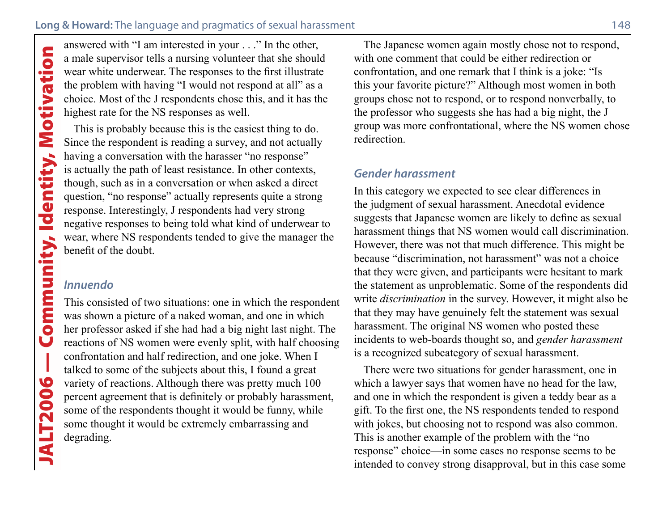a male supervisor tells a nursing volunteer that she should wear white underwear. The responses to the first illustrate the problem with having "I would not respond at all" as a choice. Most of the J respondents chose this, and it has the highest rate for the NS responses as well.

This is probably because this is the easiest thing to do. Since the respondent is reading a survey, and not actually having a conversation with the harasser "no response" is actually the path of least resistance. In other contexts, though, such as in a conversation or when asked a direct question, "no response" actually represents quite a strong response. Interestingly, J respondents had very strong negative responses to being told what kind of underwear to wear, where NS respondents tended to give the manager the benefit of the doubt.

#### *Innuendo*

Solution the interested in your . . . ." In the other,<br>
a male supervisor tells a nursing volunter that she should<br>
wear white underwear. The responses to the first illustrate<br>
the problem with having "I would not respond This consisted of two situations: one in which the respondent was shown a picture of a naked woman, and one in which her professor asked if she had had a big night last night. The reactions of NS women were evenly split, with half choosing confrontation and half redirection, and one joke. When I talked to some of the subjects about this, I found a great variety of reactions. Although there was pretty much 100 percent agreement that is definitely or probably harassment, some of the respondents thought it would be funny, while some thought it would be extremely embarrassing and degrading.

The Japanese women again mostly chose not to respond, with one comment that could be either redirection or confrontation, and one remark that I think is a joke: "Is this your favorite picture?" Although most women in both groups chose not to respond, or to respond nonverbally, to the professor who suggests she has had a big night, the J group was more confrontational, where the NS women chose redirection.

#### *Gender harassment*

In this category we expected to see clear differences in the judgment of sexual harassment. Anecdotal evidence suggests that Japanese women are likely to define as sexual harassment things that NS women would call discrimination. However, there was not that much difference. This might be because "discrimination, not harassment" was not a choice that they were given, and participants were hesitant to mark the statement as unproblematic. Some of the respondents did write *discrimination* in the survey. However, it might also be that they may have genuinely felt the statement was sexual harassment. The original NS women who posted these incidents to web-boards thought so, and *gender harassment* is a recognized subcategory of sexual harassment.

There were two situations for gender harassment, one in which a lawyer says that women have no head for the law, and one in which the respondent is given a teddy bear as a gift. To the first one, the NS respondents tended to respond with jokes, but choosing not to respond was also common. This is another example of the problem with the "no response" choice—in some cases no response seems to be intended to convey strong disapproval, but in this case some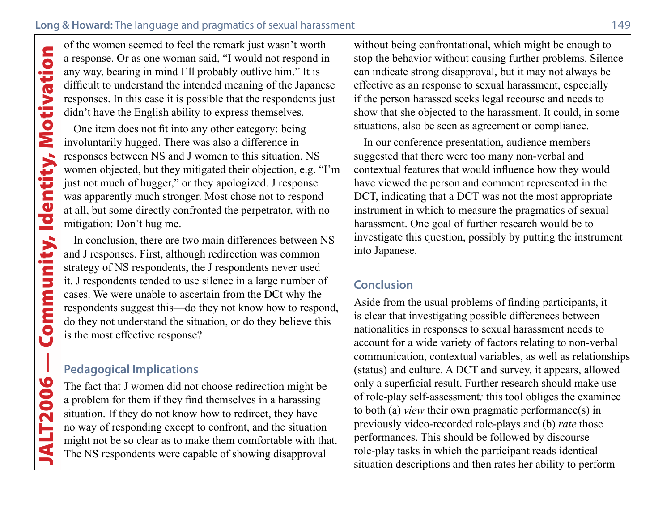a response. Or as one woman said, "I would not respond in any way, bearing in mind I'll probably outlive him." It is difficult to understand the intended meaning of the Japanese responses. In this case it is possible that the respondents just didn't have the English ability to express themselves.

**Solution** Seemen Seemend to feel the remark just wasn't worth<br>an response. Or as one woman said, "I would not respond in<br>any way, bearing in mind I'll probably outlive him." It is<br>difficult to understand the intended mean One item does not fit into any other category: being involuntarily hugged. There was also a difference in responses between NS and J women to this situation. NS women objected, but they mitigated their objection, e.g. "I'm just not much of hugger," or they apologized. J response was apparently much stronger. Most chose not to respond at all, but some directly confronted the perpetrator, with no mitigation: Don't hug me.

In conclusion, there are two main differences between NS and J responses. First, although redirection was common strategy of NS respondents, the J respondents never used it. J respondents tended to use silence in a large number of cases. We were unable to ascertain from the DCt why the respondents suggest this—do they not know how to respond, do they not understand the situation, or do they believe this is the most effective response?

# **Pedagogical Implications**

The fact that J women did not choose redirection might be a problem for them if they find themselves in a harassing situation. If they do not know how to redirect, they have no way of responding except to confront, and the situation might not be so clear as to make them comfortable with that. The NS respondents were capable of showing disapproval

without being confrontational, which might be enough to stop the behavior without causing further problems. Silence can indicate strong disapproval, but it may not always be effective as an response to sexual harassment, especially if the person harassed seeks legal recourse and needs to show that she objected to the harassment. It could, in some situations, also be seen as agreement or compliance.

In our conference presentation, audience members suggested that there were too many non-verbal and contextual features that would influence how they would have viewed the person and comment represented in the DCT, indicating that a DCT was not the most appropriate instrument in which to measure the pragmatics of sexual harassment. One goal of further research would be to investigate this question, possibly by putting the instrument into Japanese.

#### **Conclusion**

Aside from the usual problems of finding participants, it is clear that investigating possible differences between nationalities in responses to sexual harassment needs to account for a wide variety of factors relating to non-verbal communication, contextual variables, as well as relationships (status) and culture. A DCT and survey, it appears, allowed only a superficial result. Further research should make use of role-play self-assessment*;* this tool obliges the examinee to both (a) *view* their own pragmatic performance(s) in previously video-recorded role-plays and (b) *rate* those performances. This should be followed by discourse role-play tasks in which the participant reads identical situation descriptions and then rates her ability to perform